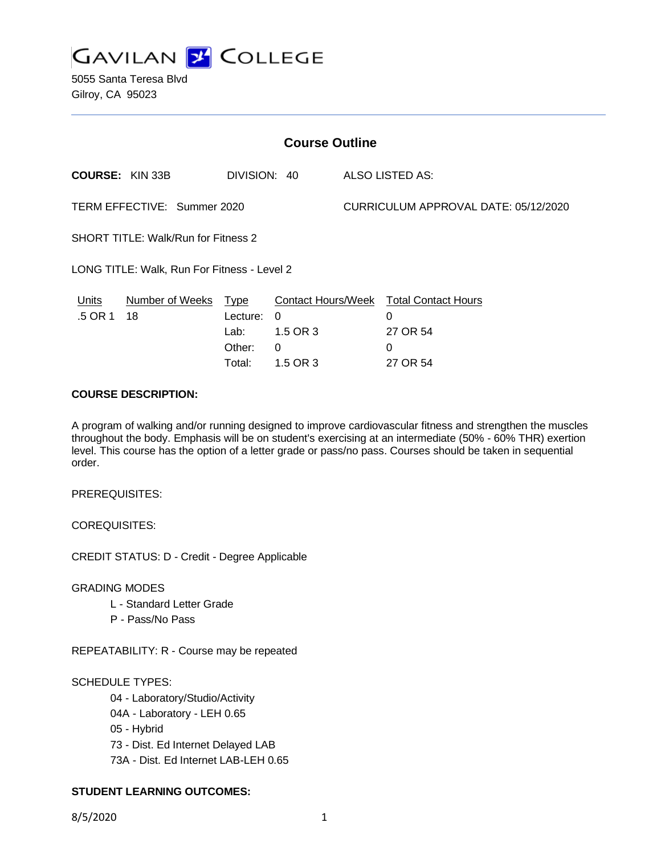

5055 Santa Teresa Blvd Gilroy, CA 95023

| <b>Course Outline</b>                       |                            |              |          |                                      |                                                    |
|---------------------------------------------|----------------------------|--------------|----------|--------------------------------------|----------------------------------------------------|
|                                             | <b>COURSE: KIN 33B</b>     | DIVISION: 40 |          |                                      | ALSO LISTED AS:                                    |
| TERM EFFECTIVE: Summer 2020                 |                            |              |          | CURRICULUM APPROVAL DATE: 05/12/2020 |                                                    |
| <b>SHORT TITLE: Walk/Run for Fitness 2</b>  |                            |              |          |                                      |                                                    |
| LONG TITLE: Walk, Run For Fitness - Level 2 |                            |              |          |                                      |                                                    |
| <b>Units</b><br>.5 OR 1                     | Number of Weeks Type<br>18 | Lecture:     | $\Omega$ |                                      | Contact Hours/Week Total Contact Hours<br>$\Omega$ |
|                                             |                            | Lab:         | 1.5 OR 3 |                                      | 27 OR 54                                           |
|                                             |                            | Other:       | $\Omega$ |                                      | $\Omega$                                           |
|                                             |                            | Total:       | 1.5 OR 3 |                                      | 27 OR 54                                           |

### **COURSE DESCRIPTION:**

A program of walking and/or running designed to improve cardiovascular fitness and strengthen the muscles throughout the body. Emphasis will be on student's exercising at an intermediate (50% - 60% THR) exertion level. This course has the option of a letter grade or pass/no pass. Courses should be taken in sequential order.

PREREQUISITES:

COREQUISITES:

CREDIT STATUS: D - Credit - Degree Applicable

GRADING MODES

- L Standard Letter Grade
- P Pass/No Pass

REPEATABILITY: R - Course may be repeated

SCHEDULE TYPES:

04 - Laboratory/Studio/Activity

- 04A Laboratory LEH 0.65
- 05 Hybrid
- 73 Dist. Ed Internet Delayed LAB
- 73A Dist. Ed Internet LAB-LEH 0.65

## **STUDENT LEARNING OUTCOMES:**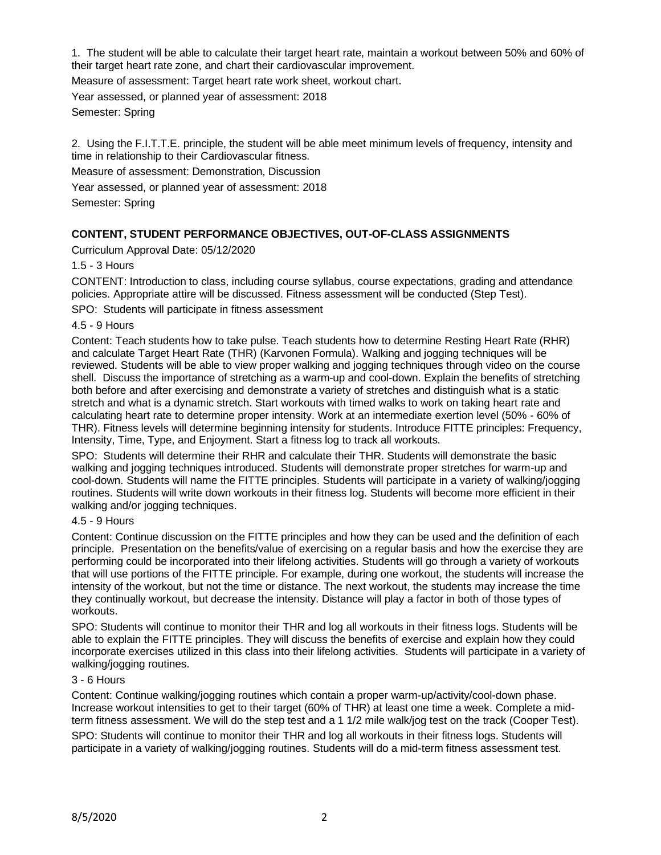1. The student will be able to calculate their target heart rate, maintain a workout between 50% and 60% of their target heart rate zone, and chart their cardiovascular improvement.

Measure of assessment: Target heart rate work sheet, workout chart.

Year assessed, or planned year of assessment: 2018 Semester: Spring

2. Using the F.I.T.T.E. principle, the student will be able meet minimum levels of frequency, intensity and time in relationship to their Cardiovascular fitness.

Measure of assessment: Demonstration, Discussion

Year assessed, or planned year of assessment: 2018

Semester: Spring

## **CONTENT, STUDENT PERFORMANCE OBJECTIVES, OUT-OF-CLASS ASSIGNMENTS**

Curriculum Approval Date: 05/12/2020

1.5 - 3 Hours

CONTENT: Introduction to class, including course syllabus, course expectations, grading and attendance policies. Appropriate attire will be discussed. Fitness assessment will be conducted (Step Test).

SPO: Students will participate in fitness assessment

4.5 - 9 Hours

Content: Teach students how to take pulse. Teach students how to determine Resting Heart Rate (RHR) and calculate Target Heart Rate (THR) (Karvonen Formula). Walking and jogging techniques will be reviewed. Students will be able to view proper walking and jogging techniques through video on the course shell. Discuss the importance of stretching as a warm-up and cool-down. Explain the benefits of stretching both before and after exercising and demonstrate a variety of stretches and distinguish what is a static stretch and what is a dynamic stretch. Start workouts with timed walks to work on taking heart rate and calculating heart rate to determine proper intensity. Work at an intermediate exertion level (50% - 60% of THR). Fitness levels will determine beginning intensity for students. Introduce FITTE principles: Frequency, Intensity, Time, Type, and Enjoyment. Start a fitness log to track all workouts.

SPO: Students will determine their RHR and calculate their THR. Students will demonstrate the basic walking and jogging techniques introduced. Students will demonstrate proper stretches for warm-up and cool-down. Students will name the FITTE principles. Students will participate in a variety of walking/jogging routines. Students will write down workouts in their fitness log. Students will become more efficient in their walking and/or jogging techniques.

#### 4.5 - 9 Hours

Content: Continue discussion on the FITTE principles and how they can be used and the definition of each principle. Presentation on the benefits/value of exercising on a regular basis and how the exercise they are performing could be incorporated into their lifelong activities. Students will go through a variety of workouts that will use portions of the FITTE principle. For example, during one workout, the students will increase the intensity of the workout, but not the time or distance. The next workout, the students may increase the time they continually workout, but decrease the intensity. Distance will play a factor in both of those types of workouts.

SPO: Students will continue to monitor their THR and log all workouts in their fitness logs. Students will be able to explain the FITTE principles. They will discuss the benefits of exercise and explain how they could incorporate exercises utilized in this class into their lifelong activities. Students will participate in a variety of walking/jogging routines.

#### 3 - 6 Hours

Content: Continue walking/jogging routines which contain a proper warm-up/activity/cool-down phase. Increase workout intensities to get to their target (60% of THR) at least one time a week. Complete a midterm fitness assessment. We will do the step test and a 1 1/2 mile walk/jog test on the track (Cooper Test).

SPO: Students will continue to monitor their THR and log all workouts in their fitness logs. Students will participate in a variety of walking/jogging routines. Students will do a mid-term fitness assessment test.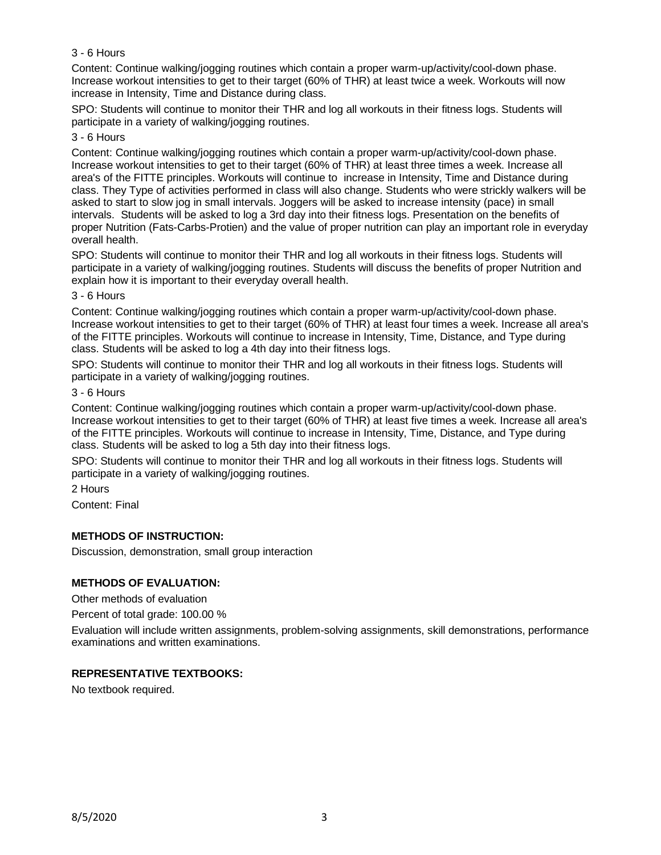## 3 - 6 Hours

Content: Continue walking/jogging routines which contain a proper warm-up/activity/cool-down phase. Increase workout intensities to get to their target (60% of THR) at least twice a week. Workouts will now increase in Intensity, Time and Distance during class.

SPO: Students will continue to monitor their THR and log all workouts in their fitness logs. Students will participate in a variety of walking/jogging routines.

### 3 - 6 Hours

Content: Continue walking/jogging routines which contain a proper warm-up/activity/cool-down phase. Increase workout intensities to get to their target (60% of THR) at least three times a week. Increase all area's of the FITTE principles. Workouts will continue to increase in Intensity, Time and Distance during class. They Type of activities performed in class will also change. Students who were strickly walkers will be asked to start to slow jog in small intervals. Joggers will be asked to increase intensity (pace) in small intervals. Students will be asked to log a 3rd day into their fitness logs. Presentation on the benefits of proper Nutrition (Fats-Carbs-Protien) and the value of proper nutrition can play an important role in everyday overall health.

SPO: Students will continue to monitor their THR and log all workouts in their fitness logs. Students will participate in a variety of walking/jogging routines. Students will discuss the benefits of proper Nutrition and explain how it is important to their everyday overall health.

#### 3 - 6 Hours

Content: Continue walking/jogging routines which contain a proper warm-up/activity/cool-down phase. Increase workout intensities to get to their target (60% of THR) at least four times a week. Increase all area's of the FITTE principles. Workouts will continue to increase in Intensity, Time, Distance, and Type during class. Students will be asked to log a 4th day into their fitness logs.

SPO: Students will continue to monitor their THR and log all workouts in their fitness logs. Students will participate in a variety of walking/jogging routines.

# 3 - 6 Hours

Content: Continue walking/jogging routines which contain a proper warm-up/activity/cool-down phase. Increase workout intensities to get to their target (60% of THR) at least five times a week. Increase all area's of the FITTE principles. Workouts will continue to increase in Intensity, Time, Distance, and Type during class. Students will be asked to log a 5th day into their fitness logs.

SPO: Students will continue to monitor their THR and log all workouts in their fitness logs. Students will participate in a variety of walking/jogging routines.

2 Hours

Content: Final

## **METHODS OF INSTRUCTION:**

Discussion, demonstration, small group interaction

## **METHODS OF EVALUATION:**

Other methods of evaluation

Percent of total grade: 100.00 %

Evaluation will include written assignments, problem-solving assignments, skill demonstrations, performance examinations and written examinations.

## **REPRESENTATIVE TEXTBOOKS:**

No textbook required.